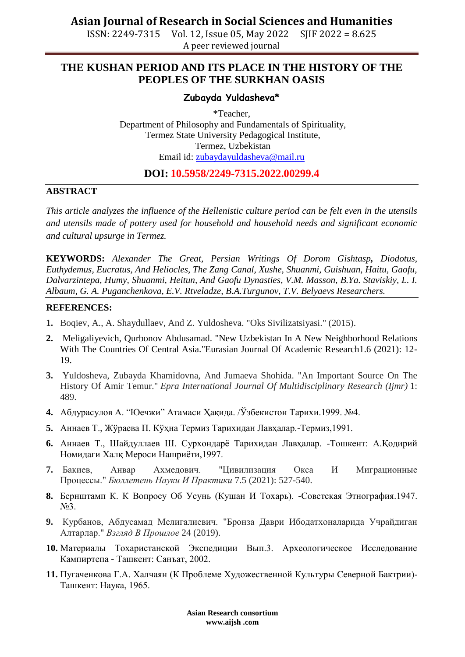ISSN: 2249-7315 Vol. 12, Issue 05, May 2022 SJIF 2022 = 8.625 A peer reviewed journal

## **THE KUSHAN PERIOD AND ITS PLACE IN THE HISTORY OF THE PEOPLES OF THE SURKHAN OASIS**

### **Zubayda Yuldasheva\***

\*Teacher, Department of Philosophy and Fundamentals of Spirituality, Termez State University Pedagogical Institute, Termez, Uzbekistan Email id: [zubaydayuldasheva@mail.ru](mailto:zubaydayuldasheva@mail.ru)

## **DOI: 10.5958/2249-7315.2022.00299.4**

#### **ABSTRACT**

*This article analyzes the influence of the Hellenistic culture period can be felt even in the utensils and utensils made of pottery used for household and household needs and significant economic and cultural upsurge in Termez.*

**KEYWORDS:** *Alexander The Great, Persian Writings Of Dorom Gishtasp, Diodotus, Euthydemus, Eucratus, And Heliocles, The Zang Canal, Xushe, Shuanmi, Guishuan, Haitu, Gaofu, Dalvarzintepa, Humy, Shuanmi, Heitun, And Gaofu Dynasties, V.M. Masson, B.Ya. Staviskiy, L. I. Albaum, G. A. Puganchenkova, E.V. Rtveladze, B.A.Turgunov, T.V. Belyaevs Researchers.*

#### **REFERENCES:**

- **1.** Boqiev, A., A. Shaydullaev, And Z. Yuldosheva. "Oks Sivilizatsiyasi." (2015).
- **2.** Meligaliyevich, Qurbonov Abdusamad. "New Uzbekistan In A New Neighborhood Relations With The Countries Of Central Asia."Eurasian Journal Of Academic Research1.6 (2021): 12- 19.
- **3.** Yuldosheva, Zubayda Khamidovna, And Jumaeva Shohida. "An Important Source On The History Of Amir Temur." *Epra International Journal Of Multidisciplinary Research (Ijmr)* 1: 489.
- **4.** Абдурасулов А. "Юечжи" Атамаси Ҳақида. /Ўзбекистон Тарихи.1999. №4.
- **5.** Аннаев Т., Жўраева П. Кўҳна Термиз Тарихидан Лавҳалар.-Термиз,1991.
- **6.** Аннаев Т., Шайдуллаев Ш. Сурхондарё Тарихидан Лавҳалар. -Тошкент: А.Қодирий Номидаги Халқ Мероси Нашриёти,1997.
- **7.** Бакиев, Анвар Ахмедович. "Цивилизация Окса И Миграционные Процессы." *Бюллетень Науки И Практики* 7.5 (2021): 527-540.
- **8.** Бернштамп К. К Вопросу Об Усунь (Кушан И Тохарь). -Советская Этнография.1947. N<sup>o</sup><sub>2</sub>.
- **9.** Курбанов, Абдусамад Мелигалиевич. "Бронза Даври Ибодатхоналарида Учрайдиган Алтарлар." *Взгляд В Прошлое* 24 (2019).
- **10.** Материалы Тохаристанской Экспедиции Вып.3. Археологическое Исследование Кампиртепа - Ташкент: Санъат, 2002.
- **11.** Пугаченкова Г.А. Халчаян (К Проблеме Художественной Культуры Северной Бактрии)- Ташкент: Наука, 1965.